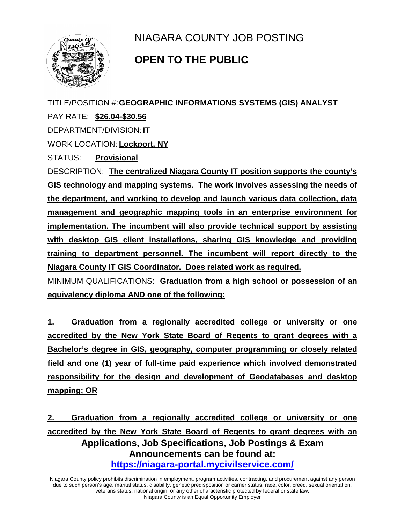

NIAGARA COUNTY JOB POSTING

## **OPEN TO THE PUBLIC**

TITLE/POSITION #:**GEOGRAPHIC INFORMATIONS SYSTEMS (GIS) ANALYST**

PAY RATE: **\$26.04-\$30.56**

DEPARTMENT/DIVISION: **IT**

WORK LOCATION: **Lockport, NY**

STATUS: **Provisional**

DESCRIPTION: **The centralized Niagara County IT position supports the county's GIS technology and mapping systems. The work involves assessing the needs of the department, and working to develop and launch various data collection, data management and geographic mapping tools in an enterprise environment for implementation. The incumbent will also provide technical support by assisting with desktop GIS client installations, sharing GIS knowledge and providing training to department personnel. The incumbent will report directly to the Niagara County IT GIS Coordinator. Does related work as required.**

MINIMUM QUALIFICATIONS: **Graduation from a high school or possession of an equivalency diploma AND one of the following:**

**1. Graduation from a regionally accredited college or university or one accredited by the New York State Board of Regents to grant degrees with a Bachelor's degree in GIS, geography, computer programming or closely related field and one (1) year of full-time paid experience which involved demonstrated responsibility for the design and development of Geodatabases and desktop mapping; OR**

**Applications, Job Specifications, Job Postings & Exam Announcements can be found at: <https://niagara-portal.mycivilservice.com/> 2. Graduation from a regionally accredited college or university or one accredited by the New York State Board of Regents to grant degrees with an** 

Niagara County policy prohibits discrimination in employment, program activities, contracting, and procurement against any person due to such person's age, marital status, disability, genetic predisposition or carrier status, race, color, creed, sexual orientation, veterans status, national origin, or any other characteristic protected by federal or state law. Niagara County is an Equal Opportunity Employer